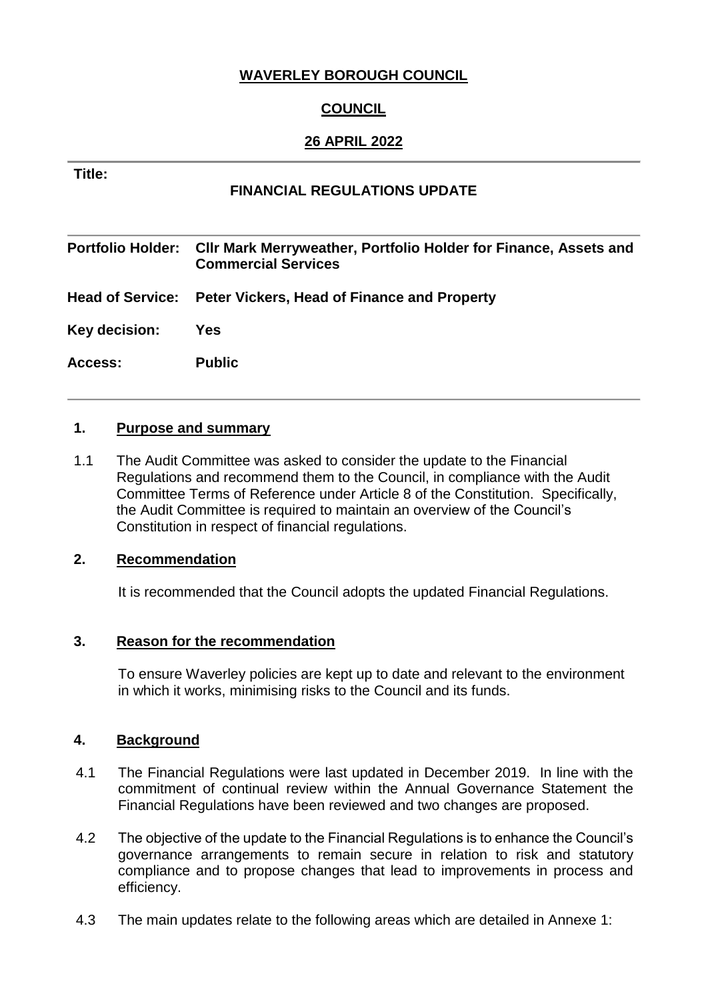## **WAVERLEY BOROUGH COUNCIL**

# **COUNCIL**

## **26 APRIL 2022**

#### **Title:**

## **FINANCIAL REGULATIONS UPDATE**

**Portfolio Holder: Cllr Mark Merryweather, Portfolio Holder for Finance, Assets and Commercial Services Head of Service: Peter Vickers, Head of Finance and Property Key decision: Yes Access: Public**

#### **1. Purpose and summary**

1.1 The Audit Committee was asked to consider the update to the Financial Regulations and recommend them to the Council, in compliance with the Audit Committee Terms of Reference under Article 8 of the Constitution. Specifically, the Audit Committee is required to maintain an overview of the Council's Constitution in respect of financial regulations.

#### **2. Recommendation**

It is recommended that the Council adopts the updated Financial Regulations.

#### **3. Reason for the recommendation**

To ensure Waverley policies are kept up to date and relevant to the environment in which it works, minimising risks to the Council and its funds.

#### **4. Background**

- 4.1 The Financial Regulations were last updated in December 2019. In line with the commitment of continual review within the Annual Governance Statement the Financial Regulations have been reviewed and two changes are proposed.
- 4.2 The objective of the update to the Financial Regulations is to enhance the Council's governance arrangements to remain secure in relation to risk and statutory compliance and to propose changes that lead to improvements in process and efficiency.
- 4.3 The main updates relate to the following areas which are detailed in Annexe 1: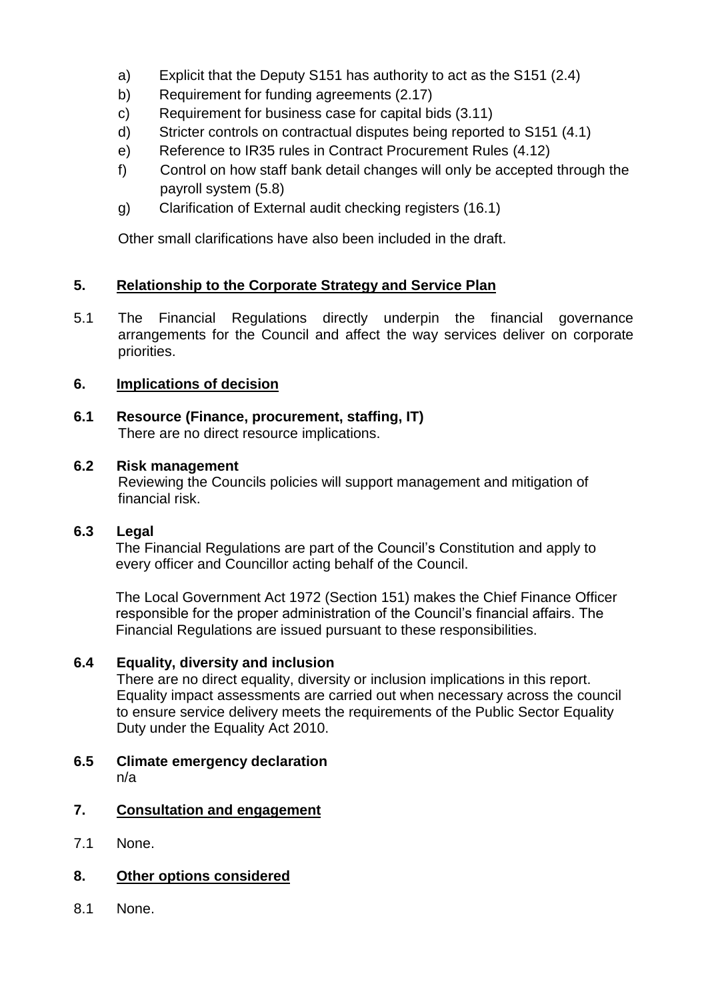- a) Explicit that the Deputy S151 has authority to act as the S151 (2.4)
- b) Requirement for funding agreements (2.17)
- c) Requirement for business case for capital bids (3.11)
- d) Stricter controls on contractual disputes being reported to S151 (4.1)
- e) Reference to IR35 rules in Contract Procurement Rules (4.12)
- f) Control on how staff bank detail changes will only be accepted through the payroll system (5.8)
- g) Clarification of External audit checking registers (16.1)

Other small clarifications have also been included in the draft.

# **5. Relationship to the Corporate Strategy and Service Plan**

5.1 The Financial Regulations directly underpin the financial governance arrangements for the Council and affect the way services deliver on corporate priorities.

## **6. Implications of decision**

**6.1 Resource (Finance, procurement, staffing, IT)** There are no direct resource implications.

### **6.2 Risk management**

Reviewing the Councils policies will support management and mitigation of financial risk.

## **6.3 Legal**

The Financial Regulations are part of the Council's Constitution and apply to every officer and Councillor acting behalf of the Council.

The Local Government Act 1972 (Section 151) makes the Chief Finance Officer responsible for the proper administration of the Council's financial affairs. The Financial Regulations are issued pursuant to these responsibilities.

## **6.4 Equality, diversity and inclusion**

There are no direct equality, diversity or inclusion implications in this report. Equality impact assessments are carried out when necessary across the council to ensure service delivery meets the requirements of the Public Sector Equality Duty under the Equality Act 2010.

**6.5 Climate emergency declaration** n/a

## **7. Consultation and engagement**

7.1 None.

## **8. Other options considered**

8.1 None.